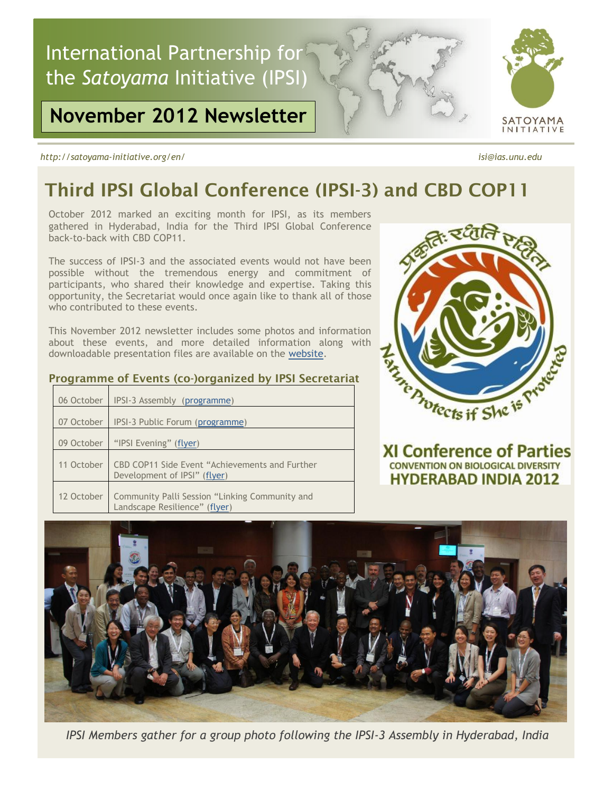

# **November 2012 Newsletter**

*http://satoyama-initiative.org/en/ isi@ias.unu.edu*

# **Third IPSI Global Conference (IPSI-3) and CBD COP11**

October 2012 marked an exciting month for IPSI, as its members gathered in Hyderabad, India for the Third IPSI Global Conference back-to-back with CBD COP11.

The success of IPSI-3 and the associated events would not have been possible without the tremendous energy and commitment of participants, who shared their knowledge and expertise. Taking this opportunity, the Secretariat would once again like to thank all of those who contributed to these events.

This November 2012 newsletter includes some photos and information about these events, and more detailed information along with downloadable presentation files are available on the [website.](http://satoyama-initiative.org/en/top-2/ipsi3-cop11/)

| Programme of Events (co-)organized by IPSI Secretariat |  |  |  |  |  |
|--------------------------------------------------------|--|--|--|--|--|
|--------------------------------------------------------|--|--|--|--|--|

|            | 06 October | IPSI-3 Assembly (programme)                                                     |
|------------|------------|---------------------------------------------------------------------------------|
|            | 07 October | IPSI-3 Public Forum (programme)                                                 |
| 09 October |            | "IPSI Evening" (flyer)                                                          |
|            | 11 October | CBD COP11 Side Event "Achievements and Further<br>Development of IPSI" (flyer)  |
|            | 12 October | Community Palli Session "Linking Community and<br>Landscape Resilience" (flyer) |



**XI Conference of Parties CONVENTION ON BIOLOGICAL DIVERSITY HYDERABAD INDIA 2012** 



*IPSI Members gather for a group photo following the IPSI-3 Assembly in Hyderabad, India*



SATOYAMA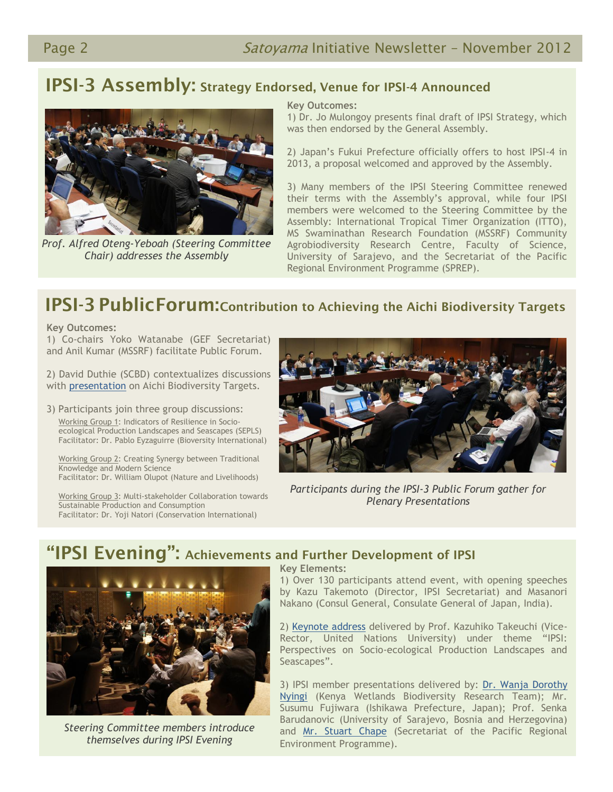### **IPSI-3 Assembly: Strategy Endorsed, Venue for IPSI-4 Announced**



*Prof. Alfred Oteng-Yeboah (Steering Committee Chair) addresses the Assembly*

#### **Key Outcomes:**

1) Dr. Jo Mulongoy presents final draft of IPSI Strategy, which was then endorsed by the General Assembly.

2) Japan's Fukui Prefecture officially offers to host IPSI-4 in 2013, a proposal welcomed and approved by the Assembly.

3) Many members of the IPSI Steering Committee renewed their terms with the Assembly's approval, while four IPSI members were welcomed to the Steering Committee by the Assembly: International Tropical Timer Organization (ITTO), MS Swaminathan Research Foundation (MSSRF) Community Agrobiodiversity Research Centre, Faculty of Science, University of Sarajevo, and the Secretariat of the Pacific Regional Environment Programme (SPREP).

# **IPSI-3 PublicForum:Contribution to Achieving the Aichi Biodiversity Targets**

**Key Outcomes:**

**key Outcomes:**<br>1) Co-chairs Yoko Watanabe (GEF Secretariat) and Anil Kumar (MSSRF) facilitate Public Forum.

2) David Duthie (SCBD) contextualizes discussions with [presentation](http://satoyama-initiative.org/wp-content/uploads/2012/10/PF-Aichi_Targets.pdf) on Aichi Biodiversity Targets.

3) Participants join three group discussions: Working Group 1: Indicators of Resilience in Socio ecological Production Landscapes and Seascapes (SEPLS) Facilitator: Dr. Pablo Eyzaguirre (Bioversity International)

 Working Group 2: Creating Synergy between Traditional Knowledge and Modern Science Facilitator: Dr. William Olupot (Nature and Livelihoods)

 Working Group 3: Multi-stakeholder Collaboration towards Sustainable Production and Consumption Facilitator: Dr. Yoji Natori (Conservation International)



*Participants during the IPSI-3 Public Forum gather for Plenary Presentations*

### **"IPSI Evening": Achievements and Further Development of IPSI**



*Steering Committee members introduce themselves during IPSI Evening*

### **Key Elements:**

1) Over 130 participants attend event, with opening speeches by Kazu Takemoto (Director, IPSI Secretariat) and Masanori Nakano (Consul General, Consulate General of Japan, India).

2) [Keynote address](http://satoyama-initiative.org/wp-content/uploads/2012/10/IE-Prof_Takeuchi.pdf) delivered by Prof. Kazuhiko Takeuchi (Vice-Rector, United Nations University) under theme "IPSI: Perspectives on Socio-ecological Production Landscapes and Seascapes".

3) IPSI member presentations delivered by: [Dr. Wanja Dorothy](http://satoyama-initiative.org/wp-content/uploads/2012/10/IE-KENWEB.pdf) [Nyingi](http://satoyama-initiative.org/wp-content/uploads/2012/10/IE-KENWEB.pdf) (Kenya Wetlands Biodiversity Research Team); Mr. Susumu Fujiwara (Ishikawa Prefecture, Japan); Prof. Senka Barudanovic (University of Sarajevo, Bosnia and Herzegovina) and [Mr. Stuart Chape](http://satoyama-initiative.org/wp-content/uploads/2012/10/IE-SPREP.pdf) (Secretariat of the Pacific Regional Environment Programme).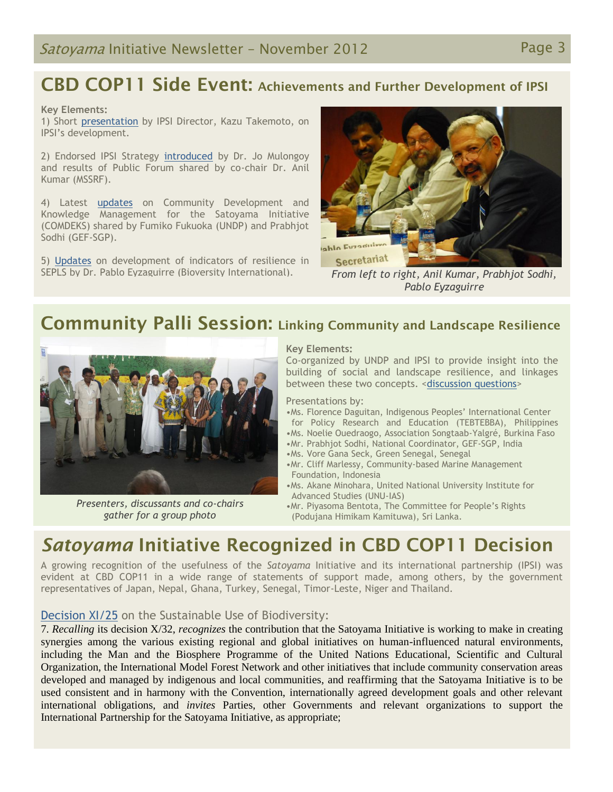# **CBD COP11 Side Event: Achievements and Further Development of IPSI**

#### **Key Elements:**

1) Short [presentation](http://satoyama-initiative.org/wp-content/uploads/2012/10/SE-Kazu-Takemoto.pdf) by IPSI Director, Kazu Takemoto, on IPSI's development.

2) Endorsed IPSI Strategy [introduced](http://satoyama-initiative.org/wp-content/uploads/2012/10/SE-Jo-Mulongoy.pdf) by Dr. Jo Mulongoy and results of Public Forum shared by co-chair Dr. Anil Kumar (MSSRF).

4) Latest **[updates](http://satoyama-initiative.org/wp-content/uploads/2012/10/SE-Fumiko-Fukuoka-and-Prabhjot-Sodhi.pdf)** on Community Development and Knowledge Management for the Satoyama Initiative (COMDEKS) shared by Fumiko Fukuoka (UNDP) and Prabhjot Sodhi (GEF-SGP).

5) [Updates](http://satoyama-initiative.org/wp-content/uploads/2012/10/SE-Pablo-Eyzaguirre.pdf) on development of indicators of resilience in SEPLS by Dr. Pablo Eyzaguirre (Bioversity International). *From left to right, Anil Kumar, Prabhjot Sodhi,* 



*Pablo Eyzaguirre*

### **Community Palli Session: Linking Community and Landscape Resilience**



*Presenters, discussants and co-chairs gather for a group photo*

### **Key Elements:**

Co-organized by UNDP and IPSI to provide insight into the building of social and landscape resilience, and linkages between these two concepts. [<discussion questions>](http://satoyama-initiative.org/wp-content/uploads/2012/10/IPSI-UNDP-joint-side-event-Moderator_12_10_2012.pdf)

Presentations by:

- •Ms. Florence Daguitan, Indigenous Peoples' International Center for Policy Research and Education (TEBTEBBA), Philippines
- •Ms. Noelie Ouedraogo, Association Songtaab-Yalgré, Burkina Faso
- •Mr. Prabhjot Sodhi, National Coordinator, GEF-SGP, India
- •Ms. Vore Gana Seck, Green Senegal, Senegal
- •Mr. Cliff Marlessy, Community-based Marine Management Foundation, Indonesia
- •Ms. Akane Minohara, United National University Institute for Advanced Studies (UNU-IAS)
- •Mr. Piyasoma Bentota, The Committee for People's Rights (Podujana Himikam Kamituwa), Sri Lanka.

### *Satoyama* **Initiative Recognized in CBD COP11 Decision**

A growing recognition of the usefulness of the *Satoyama* Initiative and its international partnership (IPSI) was evident at CBD COP11 in a wide range of statements of support made, among others, by the government representatives of Japan, Nepal, Ghana, Turkey, Senegal, Timor-Leste, Niger and Thailand.

### [Decision XI/25](http://www.cbd.int/cop/cop-11/doc/2012-10-24-advanced-unedited-cop-11-decisions-en.pdf) on the Sustainable Use of Biodiversity:

7. *Recalling* its decision X/32, *recognizes* the contribution that the Satoyama Initiative is working to make in creating synergies among the various existing regional and global initiatives on human-influenced natural environments, including the Man and the Biosphere Programme of the United Nations Educational, Scientific and Cultural Organization, the International Model Forest Network and other initiatives that include community conservation areas developed and managed by indigenous and local communities, and reaffirming that the Satoyama Initiative is to be used consistent and in harmony with the Convention, internationally agreed development goals and other relevant international obligations, and *invites* Parties, other Governments and relevant organizations to support the International Partnership for the Satoyama Initiative, as appropriate;